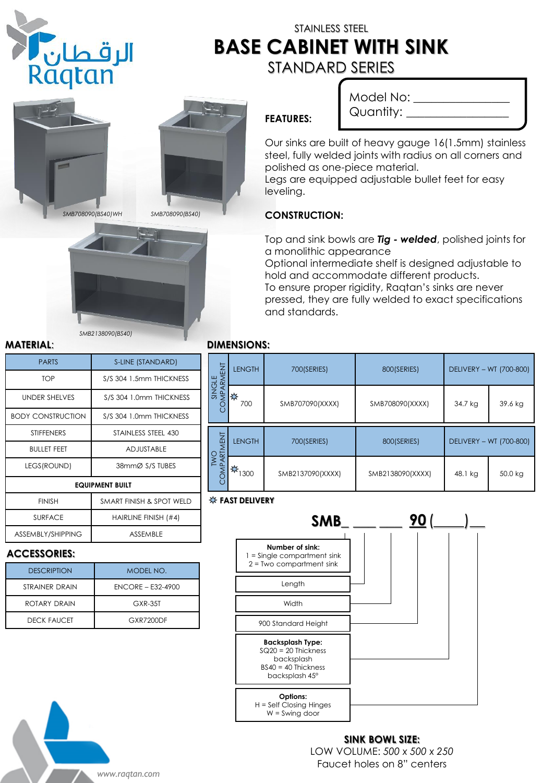

# STAINLESS STEEL **BASE CABINET WITH SINK** STANDARD SERIES



# Model No: \_\_\_\_\_\_\_\_\_ Quantity: \_\_\_\_\_

Our sinks are built of heavy gauge 16(1.5mm) stainless steel, fully welded joints with radius on all corners and polished as one-piece material.

Legs are equipped adjustable bullet feet for easy leveling.

## **CONSTRUCTION:**

**FEATURES:**

Top and sink bowls are *Tig - welded*, polished joints for a monolithic appearance

Optional intermediate shelf is designed adjustable to hold and accommodate different products. To ensure proper rigidity, Raqtan's sinks are never

pressed, they are fully welded to exact specifications and standards.

## **MATERIAL**: **DIMENSIONS:**

| SINGLE<br>MPARMENT | <b>LENGTH</b> | 700(SERIES)      | 800(SERIES)      | DELIVERY - WT (700-800) |         |
|--------------------|---------------|------------------|------------------|-------------------------|---------|
|                    | ₩<br>700      | SMB707090(XXXX)  | SMB708090(XXXX)  | 34.7 kg                 | 39.6 kg |
| TWO<br>COMPARTMENT | <b>LENGTH</b> | 700(SERIES)      | 800(SERIES)      | DELIVERY - WT (700-800) |         |
|                    | 燦<br>1300     | SMB2137090(XXXX) | SMB2138090(XXXX) | 48.1 kg                 | 50.0 kg |

## **FAST DELIVERY**



### **SINK BOWL SIZE:** LOW VOLUME: *500 x 500 x 250* Faucet holes on 8" centers

| <b>PARTS</b>             | S-LINE (STANDARD)        |  |  |  |
|--------------------------|--------------------------|--|--|--|
| <b>TOP</b>               | S/S 304 1.5mm THICKNESS  |  |  |  |
| <b>UNDER SHELVES</b>     | S/S 304 1.0mm THICKNESS  |  |  |  |
| <b>BODY CONSTRUCTION</b> | S/S 304 1.0mm THICKNESS  |  |  |  |
| <b>STIFFENERS</b>        | STAINLESS STEEL 430      |  |  |  |
| <b>BULLET FEET</b>       | <b>ADJUSTABLE</b>        |  |  |  |
| LEGS(ROUND)              | 38mmØ S/S TUBES          |  |  |  |
| <b>EQUIPMENT BUILT</b>   |                          |  |  |  |
| <b>FINISH</b>            | SMART FINISH & SPOT WELD |  |  |  |
| <b>SURFACE</b>           | HAIRLINE FINISH (#4)     |  |  |  |
| ASSEMBLY/SHIPPING        | <b>ASSEMBLE</b>          |  |  |  |

*SMB2138090(BS40)*

### **ACCESSORIES:**

| <b>DESCRIPTION</b>    | MODEL NO.           |  |  |  |
|-----------------------|---------------------|--|--|--|
| <b>STRAINER DRAIN</b> | $ENCORE - E32-4900$ |  |  |  |
| ROTARY DRAIN          | $GXR-3.5T$          |  |  |  |
| <b>DECK FAUCET</b>    | GXR7200DF           |  |  |  |

*www.raqtan.com*